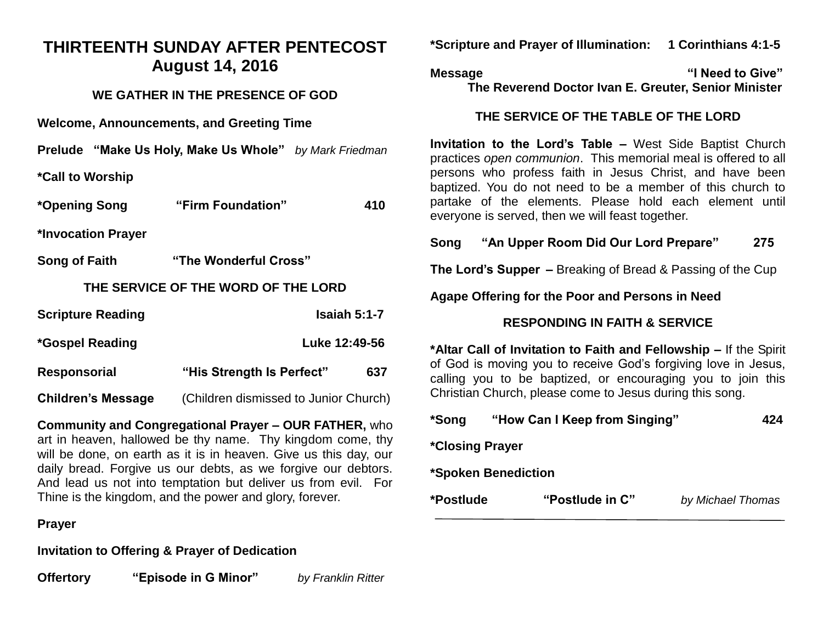# **THIRTEENTH SUNDAY AFTER PENTECOST August 14, 2016**

#### **WE GATHER IN THE PRESENCE OF GOD**

**Welcome, Announcements, and Greeting Time** 

|  | <b>Prelude "Make Us Holy, Make Us Whole"</b> by Mark Friedman |  |
|--|---------------------------------------------------------------|--|
|--|---------------------------------------------------------------|--|

**\*Call to Worship** 

| *Opening Song                       | "Firm Foundation"                     | 410 |  |  |
|-------------------------------------|---------------------------------------|-----|--|--|
| *Invocation Prayer                  |                                       |     |  |  |
| Song of Faith                       | "The Wonderful Cross"                 |     |  |  |
| THE SERVICE OF THE WORD OF THE LORD |                                       |     |  |  |
| <b>Scripture Reading</b>            | Isaiah $5:1-7$                        |     |  |  |
| Luke 12:49-56<br>*Gospel Reading    |                                       |     |  |  |
| <b>Responsorial</b>                 | "His Strength Is Perfect"             | 637 |  |  |
| <b>Children's Message</b>           | (Children dismissed to Junior Church) |     |  |  |

**Community and Congregational Prayer – OUR FATHER,** who art in heaven, hallowed be thy name. Thy kingdom come, thy will be done, on earth as it is in heaven. Give us this day, our daily bread. Forgive us our debts, as we forgive our debtors. And lead us not into temptation but deliver us from evil. For Thine is the kingdom, and the power and glory, forever.

#### **Prayer**

**Invitation to Offering & Prayer of Dedication** 

**Offertory "Episode in G Minor"** *by Franklin Ritter*

**\*Scripture and Prayer of Illumination: 1 Corinthians 4:1-5** 

**Message "I Need to Give" The Reverend Doctor Ivan E. Greuter, Senior Minister**

### **THE SERVICE OF THE TABLE OF THE LORD**

**Invitation to the Lord's Table –** West Side Baptist Church practices *open communion*. This memorial meal is offered to all persons who profess faith in Jesus Christ, and have been baptized. You do not need to be a member of this church to partake of the elements. Please hold each element until everyone is served, then we will feast together.

**Song "An Upper Room Did Our Lord Prepare" 275** 

**The Lord's Supper –** Breaking of Bread & Passing of the Cup

**Agape Offering for the Poor and Persons in Need**

## **RESPONDING IN FAITH & SERVICE**

**\*Altar Call of Invitation to Faith and Fellowship –** If the Spirit of God is moving you to receive God's forgiving love in Jesus, calling you to be baptized, or encouraging you to join this Christian Church, please come to Jesus during this song.

| *Postlude              | "Postlude in C"               | by Michael Thomas |
|------------------------|-------------------------------|-------------------|
|                        | *Spoken Benediction           |                   |
| <i>*Closing Prayer</i> |                               |                   |
| *Song                  | "How Can I Keep from Singing" | 424               |